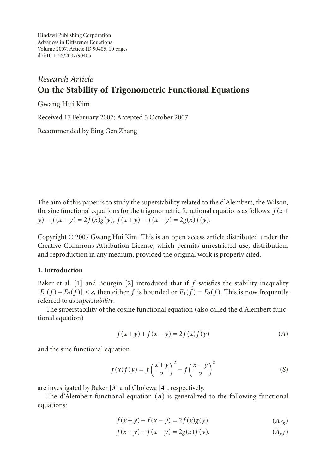Hindawi Publishing Corporation Advances in Difference Equations Volume 2007, Article ID 90405, [10](#page-9-0) pages doi:10.1155/2007/90405

# *Research Article* **On the Stability of Trigonometric Functional Equations**

Gwang Hui Kim

Received 17 February 2007; Accepted 5 October 2007

Recommended by Bing Gen Zhang

The aim of this paper is to study the superstability related to the d'Alembert, the Wilson, the sine functional equations for the trigonometric functional equations as follows:  $f(x+)$  $y) - f(x - y) = 2f(x)g(y), f(x + y) - f(x - y) = 2g(x)f(y).$ 

Copyright © 2007 Gwang Hui Kim. This is an open access article distributed under the Creative Commons Attribution License, which permits unrestricted use, distribution, and reproduction in any medium, provided the original work is properly cited.

## **1. Introduction**

Baker et al. [\[1\]](#page-9-1) and Bourgin [\[2](#page-9-2)] introduced that if *f* satisfies the stability inequality  $|E_1(f) - E_2(f)|$  ≤  $\varepsilon$ , then either  $f$  is bounded or  $E_1(f) = E_2(f)$ . This is now frequently referred to as *superstability*.

The superstability of the cosine functional equation (also called the d'Alembert functional equation)

<span id="page-0-0"></span>
$$
f(x + y) + f(x - y) = 2f(x)f(y)
$$
 (A)

and the sine functional equation

<span id="page-0-3"></span>
$$
f(x)f(y) = f\left(\frac{x+y}{2}\right)^2 - f\left(\frac{x-y}{2}\right)^2\tag{S}
$$

are investigated by Baker [\[3\]](#page-9-3) and Cholewa [\[4](#page-9-4)], respectively.

The d'Alembert functional equation (*A*[\)](#page-0-0) is generalized to the following functional equations:

<span id="page-0-1"></span>
$$
f(x+y) + f(x-y) = 2f(x)g(y),
$$
\n
$$
(A_{fg})
$$

<span id="page-0-2"></span>
$$
f(x + y) + f(x - y) = 2g(x)f(y).
$$
 (A<sub>gf</sub>)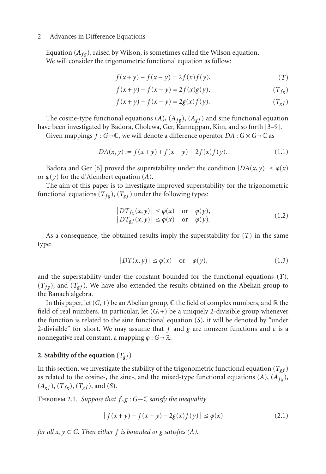Equation  $(A_{fg})$ , raised by Wilson, is sometimes called the Wilson equation. We will consider the trigonometric functional equation as follow:

<span id="page-1-2"></span>
$$
f(x+y) - f(x-y) = 2f(x)f(y),
$$
  
(T)

<span id="page-1-0"></span>
$$
f(x+y) - f(x-y) = 2f(x)g(y),
$$
  
(*T<sub>fg</sub>*)

<span id="page-1-1"></span>
$$
f(x + y) - f(x - y) = 2g(x)f(y).
$$
 (T<sub>gf</sub>)

The cosine-type functional equations  $(A)$  $(A)$ ,  $(A_f)$ ,  $(A_g f)$  and sine functional equation have been investigated by Badora, Cholewa, Ger, Kannappan, Kim, and so forth [\[3](#page-9-3)[–9\]](#page-9-5).

Given mappings  $f : G \to \mathbb{C}$ , we will denote a difference operator  $DA : G \times G \to \mathbb{C}$  as

$$
DA(x, y) := f(x + y) + f(x - y) - 2f(x)f(y).
$$
 (1.1)

Badora and Ger [\[6](#page-9-6)] proved the superstability under the condition  $|DA(x, y)| \leq \varphi(x)$ or  $\varphi(y)$  $\varphi(y)$  $\varphi(y)$  for the d'Alembert equation (*A*).

The aim of this paper is to investigate improved superstability for the trigonometric functional equations  $(T_{fg})$ ,  $(T_{gf})$  under the following types:

$$
\begin{aligned} |DT_{fg}(x,y)| &\leq \varphi(x) \quad \text{or} \quad \varphi(y), \\ |DT_{gf}(x,y)| &\leq \varphi(x) \quad \text{or} \quad \varphi(y). \end{aligned} \tag{1.2}
$$

As a consequence, the obtained results imply the superstability for [\(](#page-1-2)*T*) in the same type:

$$
|DT(x,y)| \le \varphi(x) \quad \text{or} \quad \varphi(y), \tag{1.3}
$$

and the superstability under the constant bounded for the functional equations (*T*[\)](#page-1-2),  $(T_{fg})$ , and  $(T_{gf})$ . We have also extended the results obtained on the Abelian group to the Banach algebra.

In this paper, let  $(G,+)$  be an Abelian group,  $\mathbb C$  the field of complex numbers, and  $\mathbb R$  the field of real numbers. In particular, let  $(G,+)$  be a uniquely 2-divisible group whenever the function is related to the sine functional equation (*S*[\)](#page-0-3), it will be denoted by "under 2-divisible" for short. We may assume that *f* and *g* are nonzero functions and *ε* is a nonnegative real constant, a mapping *ϕ* : *G*→R.

## 2. Stability of the equation  $(T_{gf})$

In this section, we investigate the stability of the trigonometric functional equation  $(T_{gf})$ as related to the cosine-, the sine-, and the mixed-type functional equations  $(A)$  $(A)$ ,  $(A<sub>fg</sub>)$ ,  $(A_{gf})$  $(A_{gf})$ ,  $(T_{fg})$ ,  $(T_{gf})$ , and  $(S)$ .

<span id="page-1-4"></span>Theorem 2.1. *Suppose that f* ,*g* : *G*→<sup>C</sup> *satisfy the inequality*

<span id="page-1-3"></span>
$$
|f(x+y) - f(x-y) - 2g(x)f(y)| \le \varphi(x)
$$
 (2.1)

*for all*  $x, y \in G$ *. Then either*  $f$  *is bounded or*  $g$  *satisfies*  $(A)$  $(A)$ *.*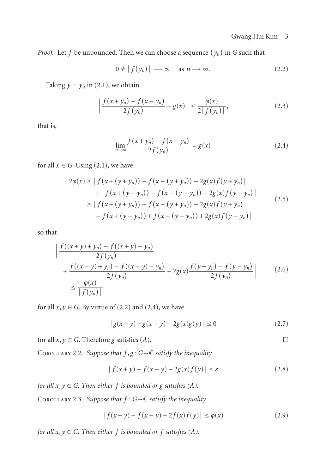$\Box$ 

*Proof.* Let *f* be unbounded. Then we can choose a sequence  $\{y_n\}$  in *G* such that

<span id="page-2-0"></span>
$$
0 \neq |f(y_n)| \longrightarrow \infty \quad \text{as } n \longrightarrow \infty. \tag{2.2}
$$

Taking  $y = y_n$  in [\(2.1\)](#page-1-3), we obtain

$$
\left| \frac{f(x + y_n) - f(x - y_n)}{2f(y_n)} - g(x) \right| \le \frac{\varphi(x)}{2|f(y_n)|},
$$
\n(2.3)

that is,

<span id="page-2-1"></span>
$$
\lim_{n \to \infty} \frac{f(x + y_n) - f(x - y_n)}{2f(y_n)} = g(x)
$$
\n(2.4)

for all  $x \in G$ . Using [\(2.1\)](#page-1-3), we have

$$
2\varphi(x) \ge |f(x + (y + y_n)) - f(x - (y + y_n)) - 2g(x)f(y + y_n)|
$$
  
+ |f(x + (y - y\_n)) - f(x - (y - y\_n)) - 2g(x)f(y - y\_n)|  

$$
\ge |f(x + (y + y_n)) - f(x - (y + y_n)) - 2g(x)f(y + y_n)
$$
  
- f(x + (y - y\_n)) + f(x - (y - y\_n)) + 2g(x)f(y - y\_n)|

so that

$$
\left| \frac{f((x+y)+y_n) - f((x+y)-y_n)}{2f(y_n)} + \frac{f((x-y)+y_n) - f((x-y)-y_n)}{2f(y_n)} - 2g(x)\frac{f(y+y_n) - f(y-y_n)}{2f(y_n)} \right| \tag{2.6}
$$
\n
$$
\leq \frac{\varphi(x)}{|f(y_n)|}
$$

for all  $x, y \in G$ . By virtue of [\(2.2\)](#page-2-0) and [\(2.4\)](#page-2-1), we have

$$
|g(x+y) + g(x-y) - 2g(x)g(y)| \le 0
$$
\n(2.7)

for all  $x, y \in G$ . Therefore *g* satisfies (*[A](#page-0-0)*).

Corollary 2.2. *Suppose that f* ,*g* : *G*→<sup>C</sup> *satisfy the inequality*

$$
|f(x+y) - f(x-y) - 2g(x)f(y)| \le \varepsilon
$$
\n(2.8)

*for all*  $x, y \in G$ *. Then either*  $f$  *is bounded or*  $g$  *satisfies*  $(A)$  $(A)$ *.* 

Corollary 2.3. *Suppose that f* : *G*→<sup>C</sup> *satisfy the inequality*

$$
|f(x+y) - f(x-y) - 2f(x)f(y)| \le \varphi(x)
$$
 (2.9)

*for all*  $x, y \in G$ *. Then either*  $f$  *is bounded or*  $f$  *satisfies*  $(A)$  $(A)$  $(A)$ *.*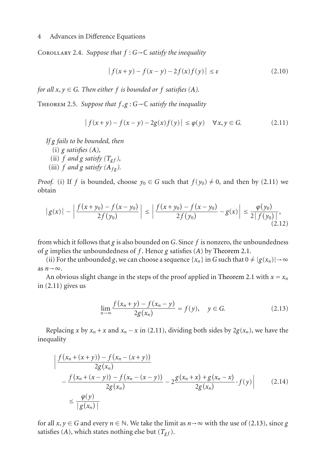COROLLARY 2.4. *Suppose that*  $f : G \rightarrow \mathbb{C}$  *satisfy the inequality* 

<span id="page-3-0"></span>
$$
|f(x+y) - f(x-y) - 2f(x)f(y)| \le \varepsilon
$$
\n(2.10)

<span id="page-3-2"></span>*for all*  $x, y \in G$ *. Then either f is bounded or f satisfies* (*[A](#page-0-0)*)*.* 

THEOREM 2.5. *Suppose that*  $f, g: G \to \mathbb{C}$  *satisfy the inequality* 

$$
|f(x+y) - f(x-y) - 2g(x)f(y)| \le \varphi(y) \quad \forall x, y \in G. \tag{2.11}
$$

*If g fails to be bounded, then*

(i) *g satisfies ([A](#page-0-0)),*

- (ii) $f$  *and*  $g$  *satisfy*  $(T_{gf})$ ,
- (iii)  $f$  *and*  $g$  *satisfy*  $(A_{fg})$ .

*Proof.* (i) If *f* is bounded, choose  $y_0 \in G$  such that  $f(y_0) \neq 0$ , and then by [\(2.11\)](#page-3-0) we obtain

$$
\left| g(x) \right| - \left| \frac{f(x + y_0) - f(x - y_0)}{2f(y_0)} \right| \le \left| \frac{f(x + y_0) - f(x - y_0)}{2f(y_0)} - g(x) \right| \le \frac{\varphi(y_0)}{2 \left| f(y_0) \right|},\tag{2.12}
$$

from which it follows that *g* is also bounded on *G*. Since *[f](#page-0-0)* is nonzero, the unboundedness of *g* implies the unboundedness of *f* . Hence *g* satisfies (*A*) by [Theorem 2.1.](#page-1-4)

(ii) For the unbounded *g*, we can choose a sequence  $\{x_n\}$  in *G* such that  $0 \neq |g(x_n)| \rightarrow \infty$ as  $n \rightarrow \infty$ .

An obvious slight change in the steps of the proof applied in [Theorem 2.1](#page-1-4) with  $x = x_n$ in [\(2.11\)](#page-3-0) gives us

<span id="page-3-1"></span>
$$
\lim_{n \to \infty} \frac{f(x_n + y) - f(x_n - y)}{2g(x_n)} = f(y), \quad y \in G.
$$
 (2.13)

Replacing *x* by  $x_n + x$  and  $x_n - x$  in [\(2.11\)](#page-3-0), dividing both sides by  $2g(x_n)$ , we have the inequality

$$
\left| \frac{f(x_n + (x+y)) - f(x_n - (x+y))}{2g(x_n)} - \frac{f(x_n + (x-y)) - f(x_n - (x-y))}{2g(x_n)} - 2 \frac{g(x_n + x) + g(x_n - x)}{2g(x_n)} \cdot f(y) \right| \tag{2.14}
$$
\n
$$
\leq \frac{\varphi(y)}{|g(x_n)|}
$$

for all  $x, y \in G$  $x, y \in G$  $x, y \in G$  and every  $n \in \mathbb{N}$ . We take the limit as  $n \rightarrow \infty$  with the use of [\(2.13\)](#page-3-1), since *g* satisfies (*A*), which states nothing else but  $(T_{gf})$ .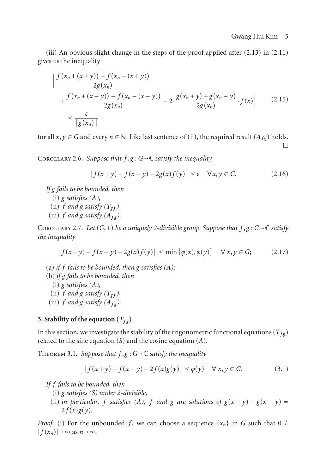(iii) An obvious slight change in the steps of the proof applied after [\(2.13\)](#page-3-1) in [\(2.11\)](#page-3-0) gives us the inequality

$$
\left| \frac{f(x_n + (x + y)) - f(x_n - (x + y))}{2g(x_n)} \right|
$$
  
+ 
$$
\frac{f(x_n + (x - y)) - f(x_n - (x - y))}{2g(x_n)} - 2 \cdot \frac{g(x_n + y) + g(x_n - y)}{2g(x_n)} \cdot f(x) \right|
$$
(2.15)  

$$
\leq \frac{\varepsilon}{|g(x_n)|}
$$

for all  $x, y \in G$  and every  $n \in \mathbb{N}$ . Like last sentence of (ii), the required result  $(A_{fg})$  holds.  $\Box$ 

COROLLARY 2.6. *Suppose that*  $f, g: G \rightarrow \mathbb{C}$  *satisfy the inequality* 

$$
|f(x+y) - f(x-y) - 2g(x)f(y)| \le \varepsilon \quad \forall x, y \in G. \tag{2.16}
$$

*If g fails to be bounded, then*

- (i) *g satisfies ([A](#page-0-0)),*
- (ii) $f$  and  $g$  satisfy  $(T_{gf})$ ,
- (iii)  $f$  *and*  $g$  *satisfy*  $(A_f_g)$ *.*

COROLLARY 2.7. *Let*  $(G,+)$  *be a uniquely 2-divisible group. Suppose that*  $f, g: G \rightarrow \mathbb{C}$  *satisfy the inequality*

$$
|f(x+y) - f(x-y) - 2g(x)f(y)| \le \min\{\varphi(x), \varphi(y)\} \quad \forall x, y \in G; \tag{2.17}
$$

- (a) *if f fails to be bounded, then g satisfies ([A](#page-0-0));*
- (b) *if g fails to be bounded, then*

(i) *g satisfies ([A](#page-0-0)),*

- (ii) $f$  and  $g$  satisfy  $(T_{gf})$ ,
- (iii)  $f$  *and*  $g$  *satisfy*  $(A_f_g)$ *.*

## **3. Stability of the equation**  $(T_{fg})$

<span id="page-4-0"></span>In this section, we investigate the stability of the trigonometric functional equations ( $T_{fg}$ ) related to the sine equation (*S*[\)](#page-0-3) and the cosine equation (*A*[\)](#page-0-0).

Theorem 3.1. *Suppose that f* ,*g* : *G*→<sup>C</sup> *satisfy the inequality*

$$
|f(x + y) - f(x - y) - 2f(x)g(y)| \le \varphi(y) \quad \forall x, y \in G.
$$
 (3.1)

*If f fails to be bounded, then*

- (i) *g satisfies (S[\)](#page-0-3) under 2-divisible,*
- [\(](#page-0-0)ii) *in particular, f satisfies* (A), *f and g are solutions of*  $g(x + y) g(x y) =$  $2 f(x)g(y)$ .

*Proof.* (i) For the unbounded f, we can choose a sequence  $\{x_n\}$  in G such that  $0 \neq$  $|f(x_n)| \to \infty$  as  $n \to \infty$ .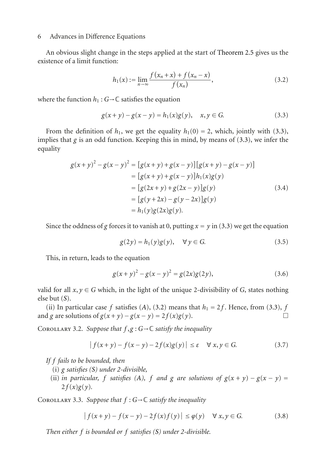An obvious slight change in the steps applied at the start of [Theorem 2.5](#page-3-2) gives us the existence of a limit function:

<span id="page-5-1"></span><span id="page-5-0"></span>
$$
h_1(x) := \lim_{n \to \infty} \frac{f(x_n + x) + f(x_n - x)}{f(x_n)},
$$
\n(3.2)

where the function  $h_1$ :  $G \rightarrow \mathbb{C}$  satisfies the equation

$$
g(x + y) - g(x - y) = h_1(x)g(y), \quad x, y \in G.
$$
 (3.3)

From the definition of  $h_1$ , we get the equality  $h_1(0) = 2$ , which, jointly with [\(3.3\)](#page-5-0), implies that  $g$  is an odd function. Keeping this in mind, by means of  $(3.3)$ , we infer the equality

$$
g(x+y)^2 - g(x-y)^2 = [g(x+y) + g(x-y)][g(x+y) - g(x-y)]
$$
  
\n
$$
= [g(x+y) + g(x-y)][h_1(x)g(y)]
$$
  
\n
$$
= [g(2x+y) + g(2x-y)][g(y)]
$$
  
\n
$$
= [g(y+2x) - g(y-2x)][g(y)]
$$
  
\n
$$
= h_1(y)g(2x)g(y).
$$
 (3.4)

Since the oddness of *g* forces it to vanish at 0, putting  $x = y$  in [\(3.3\)](#page-5-0) we get the equation

$$
g(2y) = h_1(y)g(y), \quad \forall y \in G.
$$
\n
$$
(3.5)
$$

This, in return, leads to the equation

$$
g(x+y)^2 - g(x-y)^2 = g(2x)g(2y),
$$
\n(3.6)

valid for all  $x, y \in G$  which, in the light of the unique 2-divisibility of *G*, states nothing else but [\(](#page-0-3)*S*).

[\(](#page-0-0)ii) In particular case *f* satisfies (*A*), [\(3.2\)](#page-5-1) means that  $h_1 = 2f$ . Hence, from [\(3.3\)](#page-5-0),  $f$ <br>d  $g$  are solutions of  $g(x + y) - g(x - y) = 2f(x)g(y)$ and *g* are solutions of  $g(x + y) - g(x - y) = 2f(x)g(y)$ .

COROLLARY 3.2. *Suppose that*  $f, g: G \to \mathbb{C}$  *satisfy the inequality* 

$$
|f(x+y) - f(x-y) - 2f(x)g(y)| \le \varepsilon \quad \forall x, y \in G. \tag{3.7}
$$

*If f fails to be bounded, then*

- (i) *g satisfies (S[\)](#page-0-3) under 2-divisible,*
- [\(](#page-0-0)ii) *in particular, f satisfies* (*A*), *f and g are solutions of*  $g(x + y) g(x y) =$  $2 f(x)g(y)$ .

Corollary 3.3. *Suppose that <sup>f</sup>* : *<sup>G</sup>*→<sup>C</sup> *satisfy the inequality*

$$
|f(x+y) - f(x-y) - 2f(x)f(y)| \le \varphi(y) \quad \forall \ x, y \in G. \tag{3.8}
$$

*Then either f is bounded or f satisfies (S[\)](#page-0-3) under 2-divisible.*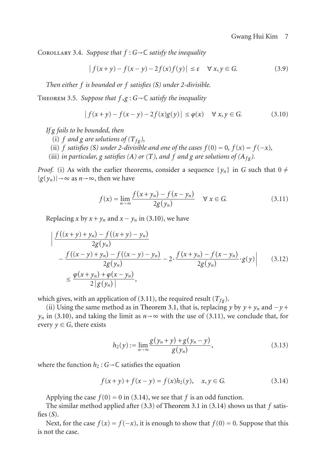COROLLARY 3.4. Suppose that  $f : G \rightarrow \mathbb{C}$  satisfy the inequality

$$
|f(x+y) - f(x-y) - 2f(x)f(y)| \le \varepsilon \quad \forall x, y \in G. \tag{3.9}
$$

*Then either f is bounded or f satisfies (S[\)](#page-0-3) under 2-divisible.*

<span id="page-6-3"></span>Theorem 3.5. *Suppose that f* ,*g* : *G*→<sup>C</sup> *satisfy the inequality*

<span id="page-6-0"></span>
$$
|f(x+y) - f(x-y) - 2f(x)g(y)| \le \varphi(x) \quad \forall \ x, y \in G. \tag{3.10}
$$

*If g fails to be bounded, then*

- (i) *f* and *g* are solutions of  $(T_{fg})$ ,
- (ii[\)](#page-0-3) *f satisfies* (*S*) *under 2-divisible and one of the cases*  $f(0) = 0$ ,  $f(x) = f(-x)$ ,
- (iii[\)](#page-1-2) *in particular, g satisfies (A) or (T), and f and g are solutions of*  $(A_f_g)$ *.*

*Proof.* (i) As with the earlier theorems, consider a sequence  $\{y_n\}$  in *G* such that  $0 \neq$  $|g(y_n)| \rightarrow \infty$  as  $n \rightarrow \infty$ , then we have

<span id="page-6-1"></span>
$$
f(x) = \lim_{n \to \infty} \frac{f(x + y_n) - f(x - y_n)}{2g(y_n)} \quad \forall x \in G.
$$
 (3.11)

Replacing *x* by  $x + y_n$  and  $x - y_n$  in [\(3.10\)](#page-6-0), we have

$$
\left| \frac{f((x+y)+y_n) - f((x+y)-y_n)}{2g(y_n)} - \frac{f((x-y)+y_n) - f((x-y)-y_n)}{2g(y_n)} - 2 \cdot \frac{f(x+y_n) - f(x-y_n)}{2g(y_n)} \cdot g(y) \right| \qquad (3.12)
$$
  

$$
\leq \frac{\varphi(x+y_n) + \varphi(x-y_n)}{2|g(y_n)|},
$$

which gives, with an application of [\(3.11\)](#page-6-1), the required result  $(T_{fg})$ .

(ii) Using the same method as in [Theorem 3.1,](#page-4-0) that is, replacing *y* by  $y + y_n$  and  $-y$  +  $y_n$  in [\(3.10\)](#page-6-0), and taking the limit as  $n \rightarrow \infty$  with the use of [\(3.11\)](#page-6-1), we conclude that, for every  $y \in G$ , there exists

<span id="page-6-2"></span>
$$
h_2(y) := \lim_{n \to \infty} \frac{g(y_n + y) + g(y_n - y)}{g(y_n)},
$$
\n(3.13)

where the function  $h_2$ :  $G \rightarrow \mathbb{C}$  satisfies the equation

$$
f(x+y) + f(x-y) = f(x)h_2(y), \quad x, y \in G.
$$
 (3.14)

Applying the case  $f(0) = 0$  in [\(3.14\)](#page-6-2), we see that  $f$  is an odd function.

The similar method applied after [\(3.3\)](#page-5-0) of [Theorem 3.1](#page-4-0) in [\(3.14\)](#page-6-2) shows us that *f* satisfies [\(](#page-0-3)*S*).

Next, for the case  $f(x) = f(-x)$ , it is enough to show that  $f(0) = 0$ . Suppose that this is not the case.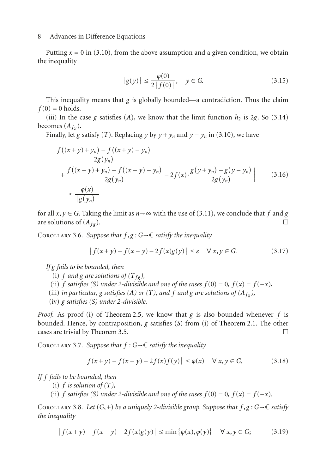Putting  $x = 0$  in [\(3.10\)](#page-6-0), from the above assumption and a given condition, we obtain the inequality

$$
|g(y)| \le \frac{\varphi(0)}{2|f(0)|}, \quad y \in G. \tag{3.15}
$$

This inequality means that  $g$  is globally bounded—a contradiction. Thus the claim  $f(0) = 0$  holds.

[\(](#page-0-0)iii) In the case *g* satisfies (*A*), we know that the limit function  $h_2$  is 2*g*. So [\(3.14\)](#page-6-2) becomes  $(A_{f\varrho})$ .

Finally, let *g* satisfy (*T*[\)](#page-1-2). Replacing *y* by  $y + y_n$  and  $y - y_n$  in [\(3.10\)](#page-6-0), we have

$$
\left| \frac{f((x+y)+y_n) - f((x+y)-y_n)}{2g(y_n)} + \frac{f((x-y)+y_n) - f((x-y)-y_n)}{2g(y_n)} - 2f(x) \cdot \frac{g(y+y_n) - g(y-y_n)}{2g(y_n)} \right| \tag{3.16}
$$
\n
$$
\leq \frac{\varphi(x)}{|g(y_n)|}
$$

for all *x*, *y* ∈ *G*. Taking the limit as *n*→∞ with the use of [\(3.11\)](#page-6-1), we conclude that *f* and *g* are solutions of (*A*<sub>*c*</sub>) are solutions of  $(A_{f\varrho})$ .

COROLLARY 3.6. *Suppose that*  $f, g: G \rightarrow \mathbb{C}$  *satisfy the inequality* 

$$
|f(x+y) - f(x-y) - 2f(x)g(y)| \le \varepsilon \quad \forall x, y \in G. \tag{3.17}
$$

*If g fails to be bounded, then*

- (i) *f* and *g* are solutions of  $(T_{fg})$ ,
- (ii[\)](#page-0-3) *f satisfies* (*S*) *under 2-divisible and one of the cases*  $f(0) = 0$ ,  $f(x) = f(-x)$ ,
- (iii[\)](#page-1-2) *in particular, g satisfies* (*A*) *or* (*T*)*, and f and g are solutions of* ( $A_{fg}$ *),*
- (iv) *g satisfies ([S](#page-0-3)) under 2-divisible.*

*Proof.* As proof (i) of [Theorem 2.5,](#page-3-2) we know that *g* is also bounded whenever *f* is bounded. Hence, by contraposition, *g* satisfies (*S*[\)](#page-0-3) from (i) of [Theorem 2.1.](#page-1-4) The other cases are trivial by Theorem 3.5 cases are trivial by [Theorem 3.5.](#page-6-3)

Corollary 3.7. *Suppose that f* : *G*→<sup>C</sup> *satisfy the inequality*

$$
|f(x+y) - f(x-y) - 2f(x)f(y)| \le \varphi(x) \quad \forall \ x, y \in G,
$$
 (3.18)

*If f fails to be bounded, then*

- (i[\)](#page-1-2)  $f$  *is solution of*  $(T)$ *,*
- (ii[\)](#page-0-3) *f satisfies* (*S*) *under 2-divisible and one of the cases*  $f(0) = 0$ ,  $f(x) = f(-x)$ .

COROLLARY 3.8. Let  $(G,+)$  *be a uniquely 2-divisible group. Suppose that*  $f, g: G \rightarrow \mathbb{C}$  *satisfy the inequality*

$$
|f(x+y) - f(x-y) - 2f(x)g(y)| \le \min \{ \varphi(x), \varphi(y) \} \quad \forall x, y \in G; \tag{3.19}
$$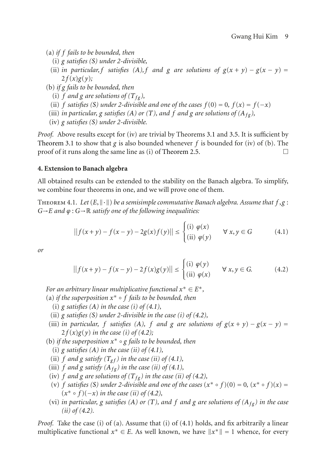- (a) *if f fails to be bounded, then*
	- (i) *g satisfies (S[\)](#page-0-3) under 2-divisible,*
	- (ii[\)](#page-0-0) *in particular,*  $f$  *satisfies*  $(A)$ *,*  $f$  *and*  $g$  *are solutions of*  $g(x + y) g(x y) =$  $2 f(x)g(y);$
- (b) *if g fails to be bounded, then*
	- (i) *f* and *g* are solutions of  $(T_{fg})$ ,
	- (ii[\)](#page-0-3) *f satisfies* (*S*) *under 2-divisible and one of the cases*  $f(0) = 0$ ,  $f(x) = f(-x)$
- (iii[\)](#page-1-2) *in particular, g satisfies (A) or (T), and f and g are solutions of*  $(A_{f\sigma})$ *,*
- (iv) *g satisfies (S[\)](#page-0-3) under 2-divisible.*

*Proof.* Above results except for (iv) are trivial by Theorems [3.1](#page-4-0) and [3.5.](#page-6-3) It is sufficient by [Theorem 3.1](#page-4-0) to show that *g* is also bounded whenever *f* is bounded for (iv) of (b). The proof of it runs along the same line as (i) of Theorem 2.5 proof of it runs along the same line as (i) of [Theorem 2.5.](#page-3-2) -

## **4. Extension to Banach algebra**

<span id="page-8-2"></span>All obtained results can be extended to the stability on the Banach algebra. To simplify, we combine four theorems in one, and we will prove one of them.

THEOREM 4.1. Let  $(E, \|\cdot\|)$  be a semisimple commutative Banach algebra. Assume that  $f, g$ : *G*→*E and ϕ* : *G*→<sup>R</sup> *satisfy one of the following inequalities:*

<span id="page-8-0"></span>
$$
||f(x+y) - f(x-y) - 2g(x)f(y)|| \le \begin{cases} (i) \varphi(x) & \forall x, y \in G \\ (ii) \varphi(y) & \forall x, y \in G \end{cases}
$$
 (4.1)

*or*

<span id="page-8-1"></span>
$$
||f(x+y) - f(x-y) - 2f(x)g(y)|| \le \begin{cases} (i) & \varphi(y) \\ (ii) & \varphi(x) \end{cases} \quad \forall x, y \in G. \tag{4.2}
$$

*For an arbitrary linear multiplicative functional*  $x^* \in E^*$ ,

(a) *if the superposition x*<sup>∗</sup> ◦ *<sup>f</sup> fails to be bounded, then*

- (i)  $g$  *satisfies*  $(A)$  $(A)$  $(A)$  *in the case (i) of [\(4.1\)](#page-8-0),*
- (ii)  $g$  *satisfies* (*S*) *under 2-divisible in the case (i) of [\(4.2\)](#page-8-1)*,
- [\(](#page-0-0)iii) *in particular, f satisfies* (A), *f and g are solutions of*  $g(x + y) g(x y) =$  $2 f(x)g(y)$  *in the case (i) of [\(4.2\)](#page-8-1);*
- (b) *if the superposition x*<sup>∗</sup> *<sup>g</sup> fails to be bounded, then*
	- (i[\)](#page-0-0)  $g$  *satisfies*  $(A)$  *in the case*  $(ii)$  *of*  $(4.1)$ *,*
	- (ii)*[f](#page-0-1)* and *g satisfy*  $(T_{gf})$  *in the case* (*ii*) *of* [\(4.1\)](#page-8-0),
- (iii) *f* and *g satisfy*  $(A_{fg})$  *in the case* (*ii*) *of* [\(4.1\)](#page-8-0),
- (iv) *f* and *g* are solutions of  $(T_{fg})$  in the case (ii) of [\(4.2\)](#page-8-1),
- (v[\)](#page-0-3) *f satisfies* (*S*) *under 2-divisible and one of the cases*  $(x^* \circ f)(0) = 0$ ,  $(x^* \circ f)(x) = 0$ (*x*<sup>∗</sup> ◦ *f* )(−*x*) *in the case (ii) of [\(4.2\)](#page-8-1),*
- [\(](#page-1-2)vi) *in particular, g satisfies* (A) or (T), and f and g are solutions of ( $A_{fg}$ ) in the case  $(ii)$  of  $(4.2)$ *.*

*Proof.* Take the case (i) of (a). Assume that (i) of [\(4.1\)](#page-8-0) holds, and fix arbitrarily a linear multiplicative functional  $x^* \in E$ . As well known, we have  $||x^*|| = 1$  whence, for every